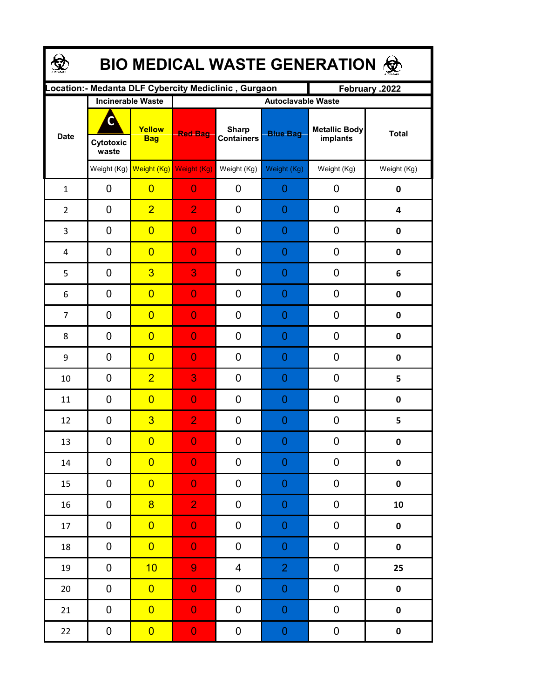| <b>BIO MEDICAL WASTE GENERATION ©</b> |                          |                      |                                                      |                                   |                  |                           |                         |  |  |  |
|---------------------------------------|--------------------------|----------------------|------------------------------------------------------|-----------------------------------|------------------|---------------------------|-------------------------|--|--|--|
|                                       |                          |                      | Location:- Medanta DLF Cybercity Mediclinic, Gurgaon |                                   |                  | February .2022            |                         |  |  |  |
| <b>Date</b>                           | <b>Incinerable Waste</b> |                      | <b>Autoclavable Waste</b>                            |                                   |                  |                           |                         |  |  |  |
|                                       | C<br>Cytotoxic<br>waste  | Yellow<br><b>Bag</b> | <b>Red Bag</b>                                       | <b>Sharp</b><br><b>Containers</b> | <b>Blue Bag</b>  | Metallic Body<br>implants | <b>Total</b>            |  |  |  |
|                                       |                          |                      | Weight (Kg) Weight (Kg) Weight (Kg)                  | Weight (Kg)                       | Weight (Kg)      | Weight (Kg)               | Weight (Kg)             |  |  |  |
| $\mathbf{1}$                          | 0                        | $\overline{0}$       | $\overline{0}$                                       | 0                                 | 0                | 0                         | 0                       |  |  |  |
| $\overline{2}$                        | 0                        | $\overline{2}$       | $\overline{2}$                                       | 0                                 | 0                | 0                         | $\overline{\mathbf{4}}$ |  |  |  |
| 3                                     | 0                        | $\overline{0}$       | $\overline{0}$                                       | 0                                 | $\overline{0}$   | 0                         | $\mathbf 0$             |  |  |  |
| 4                                     | 0                        | $\overline{0}$       | $\overline{0}$                                       | 0                                 | $\overline{0}$   | 0                         | $\mathbf 0$             |  |  |  |
| 5                                     | $\mathbf 0$              | $\overline{3}$       | 3                                                    | 0                                 | $\overline{0}$   | 0                         | 6                       |  |  |  |
| 6                                     | $\mathbf 0$              | $\overline{0}$       | $\overline{0}$                                       | 0                                 | $\overline{0}$   | 0                         | $\mathbf 0$             |  |  |  |
| $\overline{7}$                        | 0                        | $\overline{0}$       | $\overline{0}$                                       | 0                                 | $\overline{0}$   | 0                         | $\pmb{0}$               |  |  |  |
| 8                                     | $\mathbf 0$              | $\overline{0}$       | $\overline{0}$                                       | 0                                 | $\overline{0}$   | 0                         | $\mathbf 0$             |  |  |  |
| 9                                     | $\mathbf 0$              | $\overline{0}$       | $\overline{0}$                                       | 0                                 | 0                | 0                         | $\mathbf 0$             |  |  |  |
| 10                                    | $\mathbf 0$              | $\overline{2}$       | 3                                                    | 0                                 | 0                | 0                         | 5                       |  |  |  |
| 11                                    | 0                        | $\overline{0}$       | $\overline{0}$                                       | 0                                 | $\overline{0}$   | 0                         | $\mathbf 0$             |  |  |  |
| 12                                    | 0                        | $\overline{3}$       | $\overline{2}$                                       | 0                                 | $\overline{0}$   | 0                         | 5                       |  |  |  |
| 13                                    | 0                        | $\overline{0}$       | $\overline{0}$                                       | 0                                 | $\Omega$         | 0                         | $\mathbf{0}$            |  |  |  |
| $14\,$                                | 0                        | $\overline{0}$       | $\overline{0}$                                       | 0                                 | $\mathbf 0$      | 0                         | $\pmb{0}$               |  |  |  |
| 15                                    | 0                        | $\overline{0}$       | $\overline{0}$                                       | 0                                 | $\mathbf 0$      | 0                         | $\pmb{0}$               |  |  |  |
| 16                                    | $\pmb{0}$                | $\overline{8}$       | $\overline{2}$                                       | 0                                 | $\mathbf 0$      | 0                         | 10                      |  |  |  |
| 17                                    | $\pmb{0}$                | $\overline{0}$       | $\mathbf{0}$                                         | 0                                 | $\mathbf 0$      | 0                         | $\pmb{0}$               |  |  |  |
| 18                                    | 0                        | $\overline{0}$       | $\mathbf{0}$                                         | 0                                 | $\mathbf 0$      | 0                         | $\pmb{0}$               |  |  |  |
| 19                                    | 0                        | 10                   | $\overline{9}$                                       | 4                                 | $\overline{2}$   | 0                         | 25                      |  |  |  |
| 20                                    | 0                        | $\overline{0}$       | $\mathbf{0}$                                         | 0                                 | $\mathbf 0$      | 0                         | $\pmb{0}$               |  |  |  |
| 21                                    | $\pmb{0}$                | $\overline{0}$       | $\overline{0}$                                       | 0                                 | $\mathbf 0$      | 0                         | $\pmb{0}$               |  |  |  |
| 22                                    | $\boldsymbol{0}$         | $\overline{0}$       | $\mathbf{0}$                                         | 0                                 | $\boldsymbol{0}$ | 0                         | $\pmb{0}$               |  |  |  |